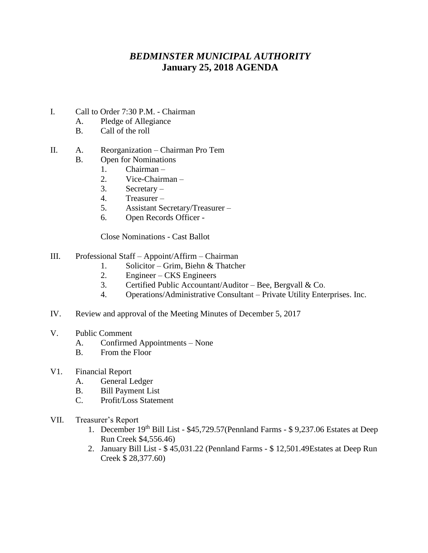## *BEDMINSTER MUNICIPAL AUTHORITY* **January 25, 2018 AGENDA**

- I. Call to Order 7:30 P.M. Chairman
	- A. Pledge of Allegiance
	- B. Call of the roll

## II. A. Reorganization – Chairman Pro Tem

- B. Open for Nominations
	- 1. Chairman –
	- 2. Vice-Chairman –
	- 3. Secretary –
	- 4. Treasurer –
	- 5. Assistant Secretary/Treasurer –
	- 6. Open Records Officer -

Close Nominations - Cast Ballot

- III. Professional Staff Appoint/Affirm Chairman
	- 1. Solicitor Grim, Biehn & Thatcher
	- 2. Engineer CKS Engineers
	- 3. Certified Public Accountant/Auditor Bee, Bergvall & Co.
	- 4. Operations/Administrative Consultant Private Utility Enterprises. Inc.
- IV. Review and approval of the Meeting Minutes of December 5, 2017
- V. Public Comment
	- A. Confirmed Appointments None
	- B. From the Floor
- V1. Financial Report
	- A. General Ledger
	- B. Bill Payment List
	- C. Profit/Loss Statement
- VII. Treasurer's Report
	- 1. December 19th Bill List \$45,729.57(Pennland Farms \$ 9,237.06 Estates at Deep Run Creek \$4,556.46)
	- 2. January Bill List \$ 45,031.22 (Pennland Farms \$ 12,501.49Estates at Deep Run Creek \$ 28,377.60)